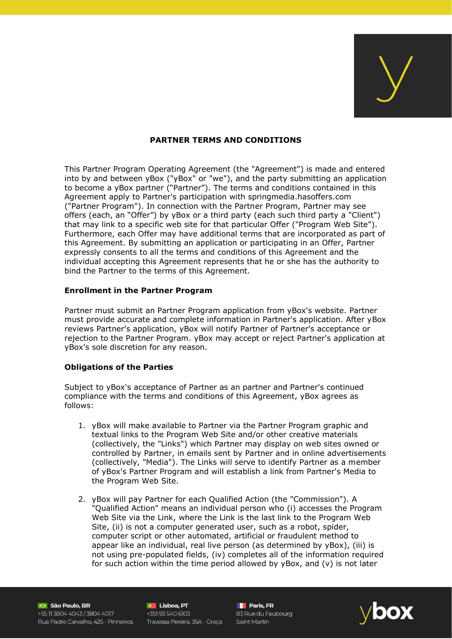

## **PARTNER TERMS AND CONDITIONS**

This Partner Program Operating Agreement (the "Agreement") is made and entered into by and between yBox ("yBox" or "we"), and the party submitting an application to become a yBox partner ("Partner"). The terms and conditions contained in this Agreement apply to Partner's participation with springmedia.hasoffers.com ("Partner Program"). In connection with the Partner Program, Partner may see offers (each, an "Offer") by yBox or a third party (each such third party a "Client") that may link to a specific web site for that particular Offer ("Program Web Site"). Furthermore, each Offer may have additional terms that are incorporated as part of this Agreement. By submitting an application or participating in an Offer, Partner expressly consents to all the terms and conditions of this Agreement and the individual accepting this Agreement represents that he or she has the authority to bind the Partner to the terms of this Agreement.

#### **Enrollment in the Partner Program**

Partner must submit an Partner Program application from yBox's website. Partner must provide accurate and complete information in Partner's application. After yBox reviews Partner's application, yBox will notify Partner of Partner's acceptance or rejection to the Partner Program. yBox may accept or reject Partner's application at yBox's sole discretion for any reason.

## **Obligations of the Parties**

Subject to yBox's acceptance of Partner as an partner and Partner's continued compliance with the terms and conditions of this Agreement, yBox agrees as follows:

- 1. yBox will make available to Partner via the Partner Program graphic and textual links to the Program Web Site and/or other creative materials (collectively, the "Links") which Partner may display on web sites owned or controlled by Partner, in emails sent by Partner and in online advertisements (collectively, "Media"). The Links will serve to identify Partner as a member of yBox's Partner Program and will establish a link from Partner's Media to the Program Web Site.
- 2. yBox will pay Partner for each Qualified Action (the "Commission"). A "Qualified Action" means an individual person who (i) accesses the Program Web Site via the Link, where the Link is the last link to the Program Web Site, (ii) is not a computer generated user, such as a robot, spider, computer script or other automated, artificial or fraudulent method to appear like an individual, real live person (as determined by yBox), (iii) is not using pre-populated fields, (iv) completes all of the information required for such action within the time period allowed by  $yBox$ , and  $(v)$  is not later

São Paulo, BR +55 11 3804 4043 / 3804 4017 Rua Padre Carvalho, 425 - Pinheiros Travessa Pereira, 35A - Graça Saint Martin

**C** Lisboa, PT **c Lisboa, PT**<br>+351 93 540 6103<br>+

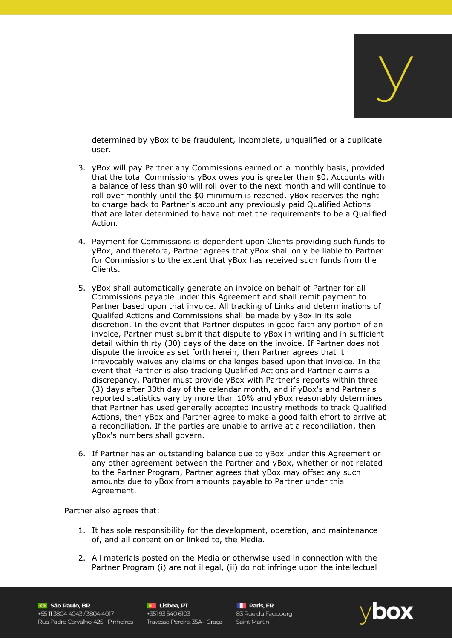

determined by yBox to be fraudulent, incomplete, unqualified or a duplicate user.

- 3. yBox will pay Partner any Commissions earned on a monthly basis, provided that the total Commissions yBox owes you is greater than \$0. Accounts with a balance of less than \$0 will roll over to the next month and will continue to roll over monthly until the \$0 minimum is reached. yBox reserves the right to charge back to Partner's account any previously paid Qualified Actions that are later determined to have not met the requirements to be a Qualified Action.
- 4. Payment for Commissions is dependent upon Clients providing such funds to yBox, and therefore, Partner agrees that yBox shall only be liable to Partner for Commissions to the extent that yBox has received such funds from the Clients.
- 5. yBox shall automatically generate an invoice on behalf of Partner for all Commissions payable under this Agreement and shall remit payment to Partner based upon that invoice. All tracking of Links and determinations of Qualifed Actions and Commissions shall be made by yBox in its sole discretion. In the event that Partner disputes in good faith any portion of an invoice, Partner must submit that dispute to yBox in writing and in sufficient detail within thirty (30) days of the date on the invoice. If Partner does not dispute the invoice as set forth herein, then Partner agrees that it irrevocably waives any claims or challenges based upon that invoice. In the event that Partner is also tracking Qualified Actions and Partner claims a discrepancy, Partner must provide yBox with Partner's reports within three (3) days after 30th day of the calendar month, and if yBox's and Partner's reported statistics vary by more than 10% and yBox reasonably determines that Partner has used generally accepted industry methods to track Qualified Actions, then yBox and Partner agree to make a good faith effort to arrive at a reconciliation. If the parties are unable to arrive at a reconciliation, then yBox's numbers shall govern.
- 6. If Partner has an outstanding balance due to yBox under this Agreement or any other agreement between the Partner and yBox, whether or not related to the Partner Program, Partner agrees that yBox may offset any such amounts due to yBox from amounts payable to Partner under this Agreement.

Partner also agrees that:

- 1. It has sole responsibility for the development, operation, and maintenance of, and all content on or linked to, the Media.
- 2. All materials posted on the Media or otherwise used in connection with the Partner Program (i) are not illegal, (ii) do not infringe upon the intellectual

São Paulo, BR +55 11 3804 4043 / 3804 4017 Rua Padre Carvalho, 425 - Pinheiros

**C** Lisboa, PT **C** Lisboa, PT<br>+351 93 540 6103<br>+ Travessa Pereira, 35A - Graça

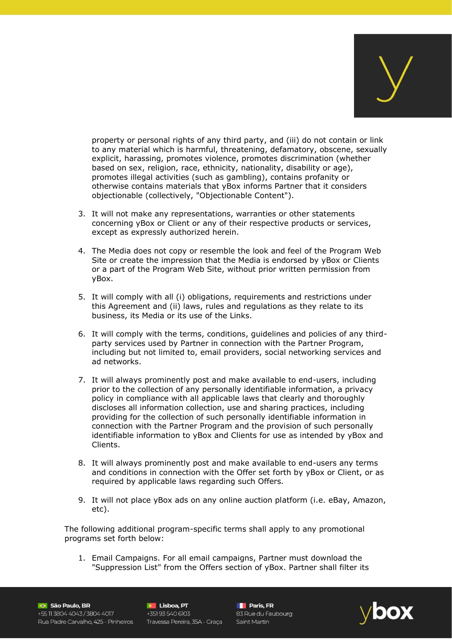

property or personal rights of any third party, and (iii) do not contain or link to any material which is harmful, threatening, defamatory, obscene, sexually explicit, harassing, promotes violence, promotes discrimination (whether based on sex, religion, race, ethnicity, nationality, disability or age), promotes illegal activities (such as gambling), contains profanity or otherwise contains materials that yBox informs Partner that it considers objectionable (collectively, "Objectionable Content").

- 3. It will not make any representations, warranties or other statements concerning yBox or Client or any of their respective products or services, except as expressly authorized herein.
- 4. The Media does not copy or resemble the look and feel of the Program Web Site or create the impression that the Media is endorsed by yBox or Clients or a part of the Program Web Site, without prior written permission from yBox.
- 5. It will comply with all (i) obligations, requirements and restrictions under this Agreement and (ii) laws, rules and regulations as they relate to its business, its Media or its use of the Links.
- 6. It will comply with the terms, conditions, guidelines and policies of any thirdparty services used by Partner in connection with the Partner Program, including but not limited to, email providers, social networking services and ad networks.
- 7. It will always prominently post and make available to end-users, including prior to the collection of any personally identifiable information, a privacy policy in compliance with all applicable laws that clearly and thoroughly discloses all information collection, use and sharing practices, including providing for the collection of such personally identifiable information in connection with the Partner Program and the provision of such personally identifiable information to yBox and Clients for use as intended by yBox and Clients.
- 8. It will always prominently post and make available to end-users any terms and conditions in connection with the Offer set forth by yBox or Client, or as required by applicable laws regarding such Offers.
- 9. It will not place yBox ads on any online auction platform (i.e. eBay, Amazon, etc).

The following additional program-specific terms shall apply to any promotional programs set forth below:

1. Email Campaigns. For all email campaigns, Partner must download the "Suppression List" from the Offers section of yBox. Partner shall filter its

São Paulo, BR +55 11 3804 4043 / 3804 4017 Rua Padre Carvalho, 425 - Pinheiros Travessa Pereira, 35A - Graça Saint Martin

**C Lisboa, PT C Lisboa, PT C Lisboa, PT C Lisboa, PT C Lisboa, PT C Lisboa, C Lisboa, C Lisboa, C Lisboa**<br>PT 83 Rue du Faubourg **C** Lisboa, PT

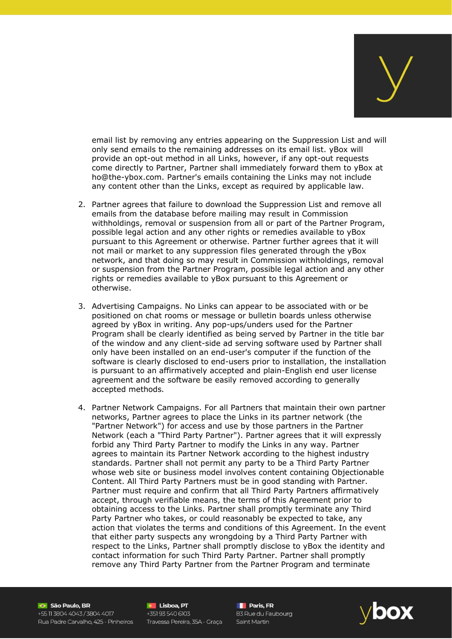

email list by removing any entries appearing on the Suppression List and will only send emails to the remaining addresses on its email list. yBox will provide an opt-out method in all Links, however, if any opt-out requests come directly to Partner, Partner shall immediately forward them to yBox at ho@the-ybox.com. Partner's emails containing the Links may not include any content other than the Links, except as required by applicable law.

- 2. Partner agrees that failure to download the Suppression List and remove all emails from the database before mailing may result in Commission withholdings, removal or suspension from all or part of the Partner Program, possible legal action and any other rights or remedies available to yBox pursuant to this Agreement or otherwise. Partner further agrees that it will not mail or market to any suppression files generated through the yBox network, and that doing so may result in Commission withholdings, removal or suspension from the Partner Program, possible legal action and any other rights or remedies available to yBox pursuant to this Agreement or otherwise.
- 3. Advertising Campaigns. No Links can appear to be associated with or be positioned on chat rooms or message or bulletin boards unless otherwise agreed by yBox in writing. Any pop-ups/unders used for the Partner Program shall be clearly identified as being served by Partner in the title bar of the window and any client-side ad serving software used by Partner shall only have been installed on an end-user's computer if the function of the software is clearly disclosed to end-users prior to installation, the installation is pursuant to an affirmatively accepted and plain-English end user license agreement and the software be easily removed according to generally accepted methods.
- 4. Partner Network Campaigns. For all Partners that maintain their own partner networks, Partner agrees to place the Links in its partner network (the "Partner Network") for access and use by those partners in the Partner Network (each a "Third Party Partner"). Partner agrees that it will expressly forbid any Third Party Partner to modify the Links in any way. Partner agrees to maintain its Partner Network according to the highest industry standards. Partner shall not permit any party to be a Third Party Partner whose web site or business model involves content containing Objectionable Content. All Third Party Partners must be in good standing with Partner. Partner must require and confirm that all Third Party Partners affirmatively accept, through verifiable means, the terms of this Agreement prior to obtaining access to the Links. Partner shall promptly terminate any Third Party Partner who takes, or could reasonably be expected to take, any action that violates the terms and conditions of this Agreement. In the event that either party suspects any wrongdoing by a Third Party Partner with respect to the Links, Partner shall promptly disclose to yBox the identity and contact information for such Third Party Partner. Partner shall promptly remove any Third Party Partner from the Partner Program and terminate

São Paulo, BR +55 11 3804 4043 / 3804 4017 Rua Padre Carvalho, 425 - Pinheiros Travessa Pereira, 35A - Graça Saint Martin

**C** Lisboa, PT **C Lisboa, PT**<br>+351 93 540 6103

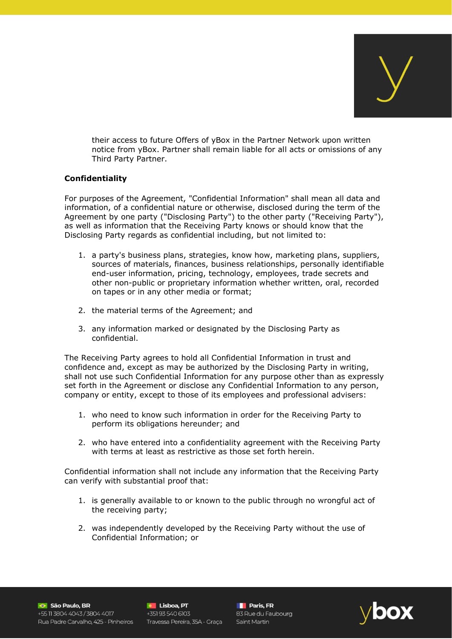

their access to future Offers of yBox in the Partner Network upon written notice from yBox. Partner shall remain liable for all acts or omissions of any Third Party Partner.

## **Confidentiality**

For purposes of the Agreement, "Confidential Information" shall mean all data and information, of a confidential nature or otherwise, disclosed during the term of the Agreement by one party ("Disclosing Party") to the other party ("Receiving Party"), as well as information that the Receiving Party knows or should know that the Disclosing Party regards as confidential including, but not limited to:

- 1. a party's business plans, strategies, know how, marketing plans, suppliers, sources of materials, finances, business relationships, personally identifiable end-user information, pricing, technology, employees, trade secrets and other non-public or proprietary information whether written, oral, recorded on tapes or in any other media or format;
- 2. the material terms of the Agreement; and
- 3. any information marked or designated by the Disclosing Party as confidential.

The Receiving Party agrees to hold all Confidential Information in trust and confidence and, except as may be authorized by the Disclosing Party in writing, shall not use such Confidential Information for any purpose other than as expressly set forth in the Agreement or disclose any Confidential Information to any person, company or entity, except to those of its employees and professional advisers:

- 1. who need to know such information in order for the Receiving Party to perform its obligations hereunder; and
- 2. who have entered into a confidentiality agreement with the Receiving Party with terms at least as restrictive as those set forth herein.

Confidential information shall not include any information that the Receiving Party can verify with substantial proof that:

- 1. is generally available to or known to the public through no wrongful act of the receiving party;
- 2. was independently developed by the Receiving Party without the use of Confidential Information; or

São Paulo, BR +55 11 3804 4043 / 3804 4017 Rua Padre Carvalho, 425 - Pinheiros

**C** Lisboa, PT **e Lisboa, PT**<br>+351 93 540 6103 Travessa Pereira, 35A - Graça

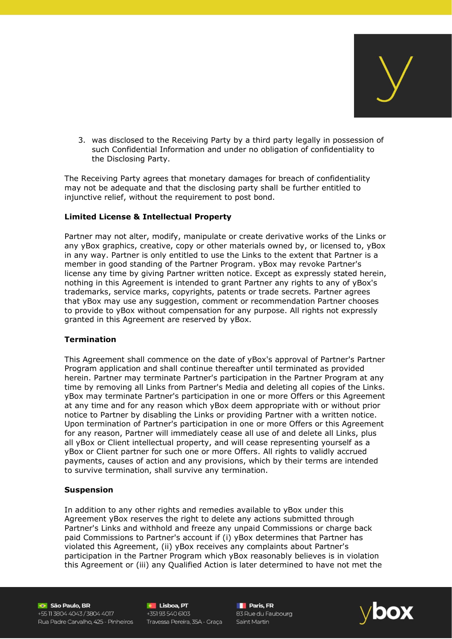

3. was disclosed to the Receiving Party by a third party legally in possession of such Confidential Information and under no obligation of confidentiality to the Disclosing Party.

The Receiving Party agrees that monetary damages for breach of confidentiality may not be adequate and that the disclosing party shall be further entitled to injunctive relief, without the requirement to post bond.

#### **Limited License & Intellectual Property**

Partner may not alter, modify, manipulate or create derivative works of the Links or any yBox graphics, creative, copy or other materials owned by, or licensed to, yBox in any way. Partner is only entitled to use the Links to the extent that Partner is a member in good standing of the Partner Program. yBox may revoke Partner's license any time by giving Partner written notice. Except as expressly stated herein, nothing in this Agreement is intended to grant Partner any rights to any of yBox's trademarks, service marks, copyrights, patents or trade secrets. Partner agrees that yBox may use any suggestion, comment or recommendation Partner chooses to provide to yBox without compensation for any purpose. All rights not expressly granted in this Agreement are reserved by yBox.

#### **Termination**

This Agreement shall commence on the date of yBox's approval of Partner's Partner Program application and shall continue thereafter until terminated as provided herein. Partner may terminate Partner's participation in the Partner Program at any time by removing all Links from Partner's Media and deleting all copies of the Links. yBox may terminate Partner's participation in one or more Offers or this Agreement at any time and for any reason which yBox deem appropriate with or without prior notice to Partner by disabling the Links or providing Partner with a written notice. Upon termination of Partner's participation in one or more Offers or this Agreement for any reason, Partner will immediately cease all use of and delete all Links, plus all yBox or Client intellectual property, and will cease representing yourself as a yBox or Client partner for such one or more Offers. All rights to validly accrued payments, causes of action and any provisions, which by their terms are intended to survive termination, shall survive any termination.

#### **Suspension**

In addition to any other rights and remedies available to yBox under this Agreement yBox reserves the right to delete any actions submitted through Partner's Links and withhold and freeze any unpaid Commissions or charge back paid Commissions to Partner's account if (i) yBox determines that Partner has violated this Agreement, (ii) yBox receives any complaints about Partner's participation in the Partner Program which yBox reasonably believes is in violation this Agreement or (iii) any Qualified Action is later determined to have not met the

São Paulo, BR +55 11 3804 4043 / 3804 4017 Rua Padre Carvalho, 425 - Pinheiros Travessa Pereira, 35A - Graça Saint Martin

**C** Lisboa, PT **e** Lisboa, PT<br>+351 93 540 6103<br>+

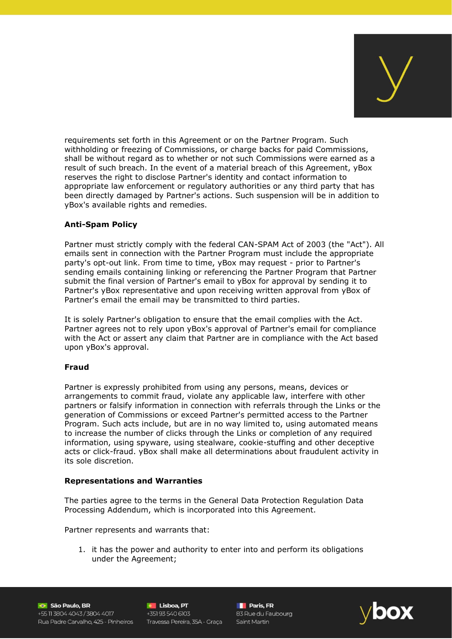

requirements set forth in this Agreement or on the Partner Program. Such withholding or freezing of Commissions, or charge backs for paid Commissions, shall be without regard as to whether or not such Commissions were earned as a result of such breach. In the event of a material breach of this Agreement, yBox reserves the right to disclose Partner's identity and contact information to appropriate law enforcement or regulatory authorities or any third party that has been directly damaged by Partner's actions. Such suspension will be in addition to yBox's available rights and remedies.

# **Anti-Spam Policy**

Partner must strictly comply with the federal CAN-SPAM Act of 2003 (the "Act"). All emails sent in connection with the Partner Program must include the appropriate party's opt-out link. From time to time, yBox may request - prior to Partner's sending emails containing linking or referencing the Partner Program that Partner submit the final version of Partner's email to yBox for approval by sending it to Partner's yBox representative and upon receiving written approval from yBox of Partner's email the email may be transmitted to third parties.

It is solely Partner's obligation to ensure that the email complies with the Act. Partner agrees not to rely upon yBox's approval of Partner's email for compliance with the Act or assert any claim that Partner are in compliance with the Act based upon yBox's approval.

## **Fraud**

Partner is expressly prohibited from using any persons, means, devices or arrangements to commit fraud, violate any applicable law, interfere with other partners or falsify information in connection with referrals through the Links or the generation of Commissions or exceed Partner's permitted access to the Partner Program. Such acts include, but are in no way limited to, using automated means to increase the number of clicks through the Links or completion of any required information, using spyware, using stealware, cookie-stuffing and other deceptive acts or click-fraud. yBox shall make all determinations about fraudulent activity in its sole discretion.

## **Representations and Warranties**

The parties agree to the terms in the General Data Protection Regulation Data Processing Addendum, which is incorporated into this Agreement.

Partner represents and warrants that:

1. it has the power and authority to enter into and perform its obligations under the Agreement;

São Paulo, BR +55 11 3804 4043 / 3804 4017 Rua Padre Carvalho, 425 - Pinheiros

**C** Lisboa, PT  $+35193540603$ Travessa Pereira, 35A - Graça

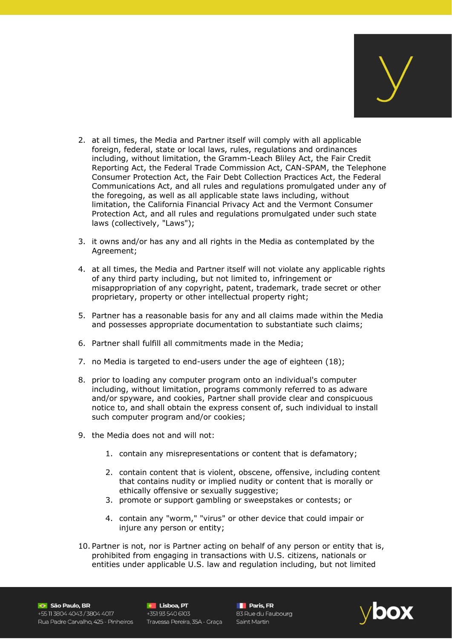

- 2. at all times, the Media and Partner itself will comply with all applicable foreign, federal, state or local laws, rules, regulations and ordinances including, without limitation, the Gramm-Leach Bliley Act, the Fair Credit Reporting Act, the Federal Trade Commission Act, CAN-SPAM, the Telephone Consumer Protection Act, the Fair Debt Collection Practices Act, the Federal Communications Act, and all rules and regulations promulgated under any of the foregoing, as well as all applicable state laws including, without limitation, the California Financial Privacy Act and the Vermont Consumer Protection Act, and all rules and regulations promulgated under such state laws (collectively, "Laws");
- 3. it owns and/or has any and all rights in the Media as contemplated by the Agreement;
- 4. at all times, the Media and Partner itself will not violate any applicable rights of any third party including, but not limited to, infringement or misappropriation of any copyright, patent, trademark, trade secret or other proprietary, property or other intellectual property right;
- 5. Partner has a reasonable basis for any and all claims made within the Media and possesses appropriate documentation to substantiate such claims;
- 6. Partner shall fulfill all commitments made in the Media;
- 7. no Media is targeted to end-users under the age of eighteen (18);
- 8. prior to loading any computer program onto an individual's computer including, without limitation, programs commonly referred to as adware and/or spyware, and cookies, Partner shall provide clear and conspicuous notice to, and shall obtain the express consent of, such individual to install such computer program and/or cookies;
- 9. the Media does not and will not:
	- 1. contain any misrepresentations or content that is defamatory;
	- 2. contain content that is violent, obscene, offensive, including content that contains nudity or implied nudity or content that is morally or ethically offensive or sexually suggestive;
	- 3. promote or support gambling or sweepstakes or contests; or
	- 4. contain any "worm," "virus" or other device that could impair or injure any person or entity;
- 10. Partner is not, nor is Partner acting on behalf of any person or entity that is, prohibited from engaging in transactions with U.S. citizens, nationals or entities under applicable U.S. law and regulation including, but not limited

São Paulo, BR +55 11 3804 4043 / 3804 4017 Rua Padre Carvalho, 425 - Pinheiros Travessa Pereira, 35A - Graça Saint Martin

**C** Lisboa, PT **e Lisboa, PT**<br>+351 93 540 6103<br>+

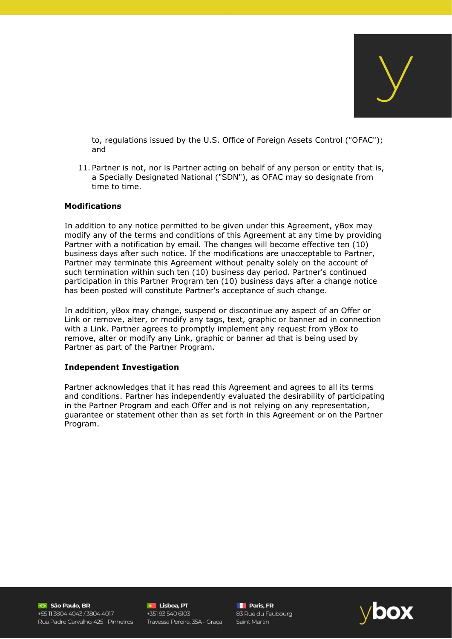to, regulations issued by the U.S. Office of Foreign Assets Control ("OFAC"); and

11. Partner is not, nor is Partner acting on behalf of any person or entity that is, a Specially Designated National ("SDN"), as OFAC may so designate from time to time.

#### **Modifications**

In addition to any notice permitted to be given under this Agreement, yBox may modify any of the terms and conditions of this Agreement at any time by providing Partner with a notification by email. The changes will become effective ten (10) business days after such notice. If the modifications are unacceptable to Partner, Partner may terminate this Agreement without penalty solely on the account of such termination within such ten (10) business day period. Partner's continued participation in this Partner Program ten (10) business days after a change notice has been posted will constitute Partner's acceptance of such change.

In addition, yBox may change, suspend or discontinue any aspect of an Offer or Link or remove, alter, or modify any tags, text, graphic or banner ad in connection with a Link. Partner agrees to promptly implement any request from yBox to remove, alter or modify any Link, graphic or banner ad that is being used by Partner as part of the Partner Program.

#### **Independent Investigation**

Partner acknowledges that it has read this Agreement and agrees to all its terms and conditions. Partner has independently evaluated the desirability of participating in the Partner Program and each Offer and is not relying on any representation, guarantee or statement other than as set forth in this Agreement or on the Partner Program.

São Paulo, BR +55 11 3804 4043 / 3804 4017 Rua Padre Carvalho 425 - Pinheiros

**C** Lisboa, PT +351 93 540 6103 Travessa Pereira, 35A - Graça

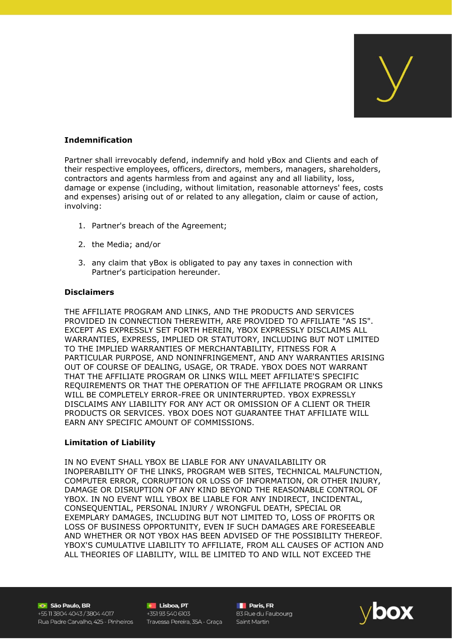

## **Indemnification**

Partner shall irrevocably defend, indemnify and hold yBox and Clients and each of their respective employees, officers, directors, members, managers, shareholders, contractors and agents harmless from and against any and all liability, loss, damage or expense (including, without limitation, reasonable attorneys' fees, costs and expenses) arising out of or related to any allegation, claim or cause of action, involving:

- 1. Partner's breach of the Agreement;
- 2. the Media; and/or
- 3. any claim that yBox is obligated to pay any taxes in connection with Partner's participation hereunder.

## **Disclaimers**

THE AFFILIATE PROGRAM AND LINKS, AND THE PRODUCTS AND SERVICES PROVIDED IN CONNECTION THEREWITH, ARE PROVIDED TO AFFILIATE "AS IS". EXCEPT AS EXPRESSLY SET FORTH HEREIN, YBOX EXPRESSLY DISCLAIMS ALL WARRANTIES, EXPRESS, IMPLIED OR STATUTORY, INCLUDING BUT NOT LIMITED TO THE IMPLIED WARRANTIES OF MERCHANTABILITY, FITNESS FOR A PARTICULAR PURPOSE, AND NONINFRINGEMENT, AND ANY WARRANTIES ARISING OUT OF COURSE OF DEALING, USAGE, OR TRADE. YBOX DOES NOT WARRANT THAT THE AFFILIATE PROGRAM OR LINKS WILL MEET AFFILIATE'S SPECIFIC REQUIREMENTS OR THAT THE OPERATION OF THE AFFILIATE PROGRAM OR LINKS WILL BE COMPLETELY ERROR-FREE OR UNINTERRUPTED. YBOX EXPRESSLY DISCLAIMS ANY LIABILITY FOR ANY ACT OR OMISSION OF A CLIENT OR THEIR PRODUCTS OR SERVICES. YBOX DOES NOT GUARANTEE THAT AFFILIATE WILL EARN ANY SPECIFIC AMOUNT OF COMMISSIONS.

## **Limitation of Liability**

IN NO EVENT SHALL YBOX BE LIABLE FOR ANY UNAVAILABILITY OR INOPERABILITY OF THE LINKS, PROGRAM WEB SITES, TECHNICAL MALFUNCTION, COMPUTER ERROR, CORRUPTION OR LOSS OF INFORMATION, OR OTHER INJURY, DAMAGE OR DISRUPTION OF ANY KIND BEYOND THE REASONABLE CONTROL OF YBOX. IN NO EVENT WILL YBOX BE LIABLE FOR ANY INDIRECT, INCIDENTAL, CONSEQUENTIAL, PERSONAL INJURY / WRONGFUL DEATH, SPECIAL OR EXEMPLARY DAMAGES, INCLUDING BUT NOT LIMITED TO, LOSS OF PROFITS OR LOSS OF BUSINESS OPPORTUNITY, EVEN IF SUCH DAMAGES ARE FORESEEABLE AND WHETHER OR NOT YBOX HAS BEEN ADVISED OF THE POSSIBILITY THEREOF. YBOX'S CUMULATIVE LIABILITY TO AFFILIATE, FROM ALL CAUSES OF ACTION AND ALL THEORIES OF LIABILITY, WILL BE LIMITED TO AND WILL NOT EXCEED THE

São Paulo, BR +55 11 3804 4043 / 3804 4017 Rua Padre Carvalho, 425 - Pinheiros

**C** Lisboa, PT **C** Lisboa, PT<br>+351 93 540 6103<br>-Travessa Pereira, 35A - Graça

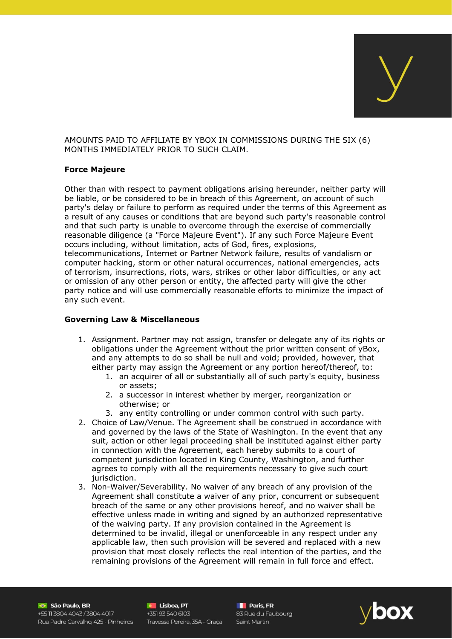AMOUNTS PAID TO AFFILIATE BY YBOX IN COMMISSIONS DURING THE SIX (6) MONTHS IMMEDIATELY PRIOR TO SUCH CLAIM.

#### **Force Majeure**

Other than with respect to payment obligations arising hereunder, neither party will be liable, or be considered to be in breach of this Agreement, on account of such party's delay or failure to perform as required under the terms of this Agreement as a result of any causes or conditions that are beyond such party's reasonable control and that such party is unable to overcome through the exercise of commercially reasonable diligence (a "Force Majeure Event"). If any such Force Majeure Event occurs including, without limitation, acts of God, fires, explosions, telecommunications, Internet or Partner Network failure, results of vandalism or computer hacking, storm or other natural occurrences, national emergencies, acts of terrorism, insurrections, riots, wars, strikes or other labor difficulties, or any act or omission of any other person or entity, the affected party will give the other party notice and will use commercially reasonable efforts to minimize the impact of any such event.

#### **Governing Law & Miscellaneous**

- 1. Assignment. Partner may not assign, transfer or delegate any of its rights or obligations under the Agreement without the prior written consent of yBox, and any attempts to do so shall be null and void; provided, however, that either party may assign the Agreement or any portion hereof/thereof, to:
	- 1. an acquirer of all or substantially all of such party's equity, business or assets;
	- 2. a successor in interest whether by merger, reorganization or otherwise; or
	- 3. any entity controlling or under common control with such party.
- 2. Choice of Law/Venue. The Agreement shall be construed in accordance with and governed by the laws of the State of Washington. In the event that any suit, action or other legal proceeding shall be instituted against either party in connection with the Agreement, each hereby submits to a court of competent jurisdiction located in King County, Washington, and further agrees to comply with all the requirements necessary to give such court jurisdiction.
- 3. Non-Waiver/Severability. No waiver of any breach of any provision of the Agreement shall constitute a waiver of any prior, concurrent or subsequent breach of the same or any other provisions hereof, and no waiver shall be effective unless made in writing and signed by an authorized representative of the waiving party. If any provision contained in the Agreement is determined to be invalid, illegal or unenforceable in any respect under any applicable law, then such provision will be severed and replaced with a new provision that most closely reflects the real intention of the parties, and the remaining provisions of the Agreement will remain in full force and effect.

São Paulo, BR +55 11 3804 4043 / 3804 4017 Rua Padre Carvalho, 425 - Pinheiros Travessa Pereira, 35A - Graça

**C** Lisboa, PT **C Lisboa, PT**<br>+351 93 540 6103

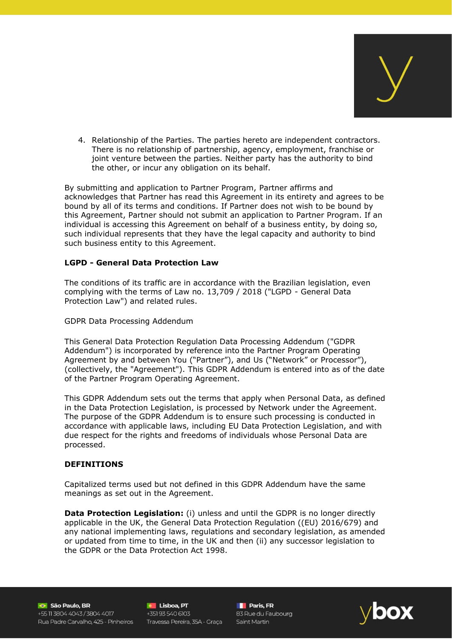

4. Relationship of the Parties. The parties hereto are independent contractors. There is no relationship of partnership, agency, employment, franchise or joint venture between the parties. Neither party has the authority to bind the other, or incur any obligation on its behalf.

By submitting and application to Partner Program, Partner affirms and acknowledges that Partner has read this Agreement in its entirety and agrees to be bound by all of its terms and conditions. If Partner does not wish to be bound by this Agreement, Partner should not submit an application to Partner Program. If an individual is accessing this Agreement on behalf of a business entity, by doing so, such individual represents that they have the legal capacity and authority to bind such business entity to this Agreement.

## **LGPD - General Data Protection Law**

The conditions of its traffic are in accordance with the Brazilian legislation, even complying with the terms of Law no. 13,709 / 2018 ("LGPD - General Data Protection Law") and related rules.

GDPR Data Processing Addendum

This General Data Protection Regulation Data Processing Addendum ("GDPR Addendum") is incorporated by reference into the Partner Program Operating Agreement by and between You ("Partner"), and Us ("Network" or Processor"), (collectively, the "Agreement"). This GDPR Addendum is entered into as of the date of the Partner Program Operating Agreement.

This GDPR Addendum sets out the terms that apply when Personal Data, as defined in the Data Protection Legislation, is processed by Network under the Agreement. The purpose of the GDPR Addendum is to ensure such processing is conducted in accordance with applicable laws, including EU Data Protection Legislation, and with due respect for the rights and freedoms of individuals whose Personal Data are processed.

## **DEFINITIONS**

Capitalized terms used but not defined in this GDPR Addendum have the same meanings as set out in the Agreement.

**Data Protection Legislation:** (i) unless and until the GDPR is no longer directly applicable in the UK, the General Data Protection Regulation ((EU) 2016/679) and any national implementing laws, regulations and secondary legislation, as amended or updated from time to time, in the UK and then (ii) any successor legislation to the GDPR or the Data Protection Act 1998.

São Paulo, BR  $+55$  11 3804 4043/3804 4017 Rua Padre Carvalho, 425 - Pinheiros Travessa Pereira, 35A - Graça Saint Martin

**e** Lisboa, PT<br>+351 93 540 6103

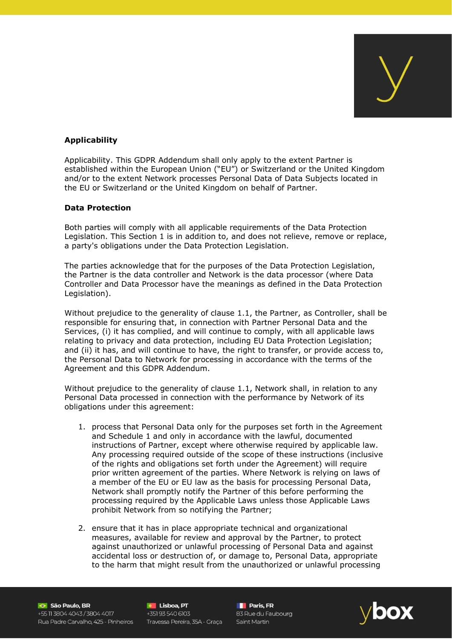

# **Applicability**

Applicability. This GDPR Addendum shall only apply to the extent Partner is established within the European Union ("EU") or Switzerland or the United Kingdom and/or to the extent Network processes Personal Data of Data Subjects located in the EU or Switzerland or the United Kingdom on behalf of Partner.

#### **Data Protection**

Both parties will comply with all applicable requirements of the Data Protection Legislation. This Section 1 is in addition to, and does not relieve, remove or replace, a party's obligations under the Data Protection Legislation.

The parties acknowledge that for the purposes of the Data Protection Legislation, the Partner is the data controller and Network is the data processor (where Data Controller and Data Processor have the meanings as defined in the Data Protection Legislation).

Without prejudice to the generality of clause 1.1, the Partner, as Controller, shall be responsible for ensuring that, in connection with Partner Personal Data and the Services, (i) it has complied, and will continue to comply, with all applicable laws relating to privacy and data protection, including EU Data Protection Legislation; and (ii) it has, and will continue to have, the right to transfer, or provide access to, the Personal Data to Network for processing in accordance with the terms of the Agreement and this GDPR Addendum.

Without prejudice to the generality of clause 1.1, Network shall, in relation to any Personal Data processed in connection with the performance by Network of its obligations under this agreement:

- 1. process that Personal Data only for the purposes set forth in the Agreement and Schedule 1 and only in accordance with the lawful, documented instructions of Partner, except where otherwise required by applicable law. Any processing required outside of the scope of these instructions (inclusive of the rights and obligations set forth under the Agreement) will require prior written agreement of the parties. Where Network is relying on laws of a member of the EU or EU law as the basis for processing Personal Data, Network shall promptly notify the Partner of this before performing the processing required by the Applicable Laws unless those Applicable Laws prohibit Network from so notifying the Partner;
- 2. ensure that it has in place appropriate technical and organizational measures, available for review and approval by the Partner, to protect against unauthorized or unlawful processing of Personal Data and against accidental loss or destruction of, or damage to, Personal Data, appropriate to the harm that might result from the unauthorized or unlawful processing

São Paulo, BR +55 11 3804 4043 / 3804 4017 Rua Padre Carvalho, 425 - Pinheiros Travessa Pereira, 35A - Graça Saint Martin

**C** Lisboa, PT **e Lisboa, PT**<br>+351 93 540 6103<br>+

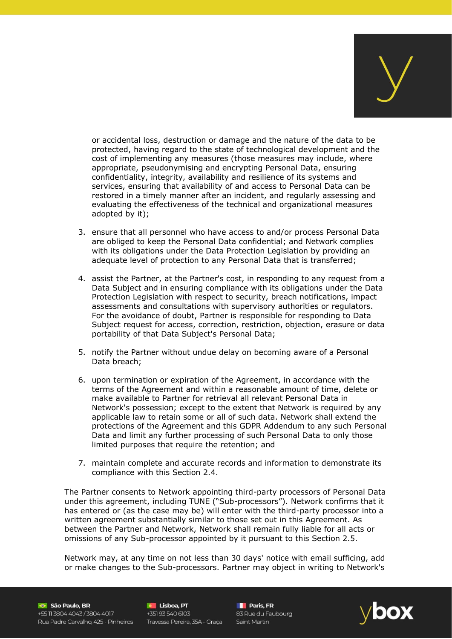

or accidental loss, destruction or damage and the nature of the data to be protected, having regard to the state of technological development and the cost of implementing any measures (those measures may include, where appropriate, pseudonymising and encrypting Personal Data, ensuring confidentiality, integrity, availability and resilience of its systems and services, ensuring that availability of and access to Personal Data can be restored in a timely manner after an incident, and regularly assessing and evaluating the effectiveness of the technical and organizational measures adopted by it);

- 3. ensure that all personnel who have access to and/or process Personal Data are obliged to keep the Personal Data confidential; and Network complies with its obligations under the Data Protection Legislation by providing an adequate level of protection to any Personal Data that is transferred;
- 4. assist the Partner, at the Partner's cost, in responding to any request from a Data Subject and in ensuring compliance with its obligations under the Data Protection Legislation with respect to security, breach notifications, impact assessments and consultations with supervisory authorities or regulators. For the avoidance of doubt, Partner is responsible for responding to Data Subject request for access, correction, restriction, objection, erasure or data portability of that Data Subject's Personal Data;
- 5. notify the Partner without undue delay on becoming aware of a Personal Data breach;
- 6. upon termination or expiration of the Agreement, in accordance with the terms of the Agreement and within a reasonable amount of time, delete or make available to Partner for retrieval all relevant Personal Data in Network's possession; except to the extent that Network is required by any applicable law to retain some or all of such data. Network shall extend the protections of the Agreement and this GDPR Addendum to any such Personal Data and limit any further processing of such Personal Data to only those limited purposes that require the retention; and
- 7. maintain complete and accurate records and information to demonstrate its compliance with this Section 2.4.

The Partner consents to Network appointing third-party processors of Personal Data under this agreement, including TUNE ("Sub-processors"). Network confirms that it has entered or (as the case may be) will enter with the third-party processor into a written agreement substantially similar to those set out in this Agreement. As between the Partner and Network, Network shall remain fully liable for all acts or omissions of any Sub-processor appointed by it pursuant to this Section 2.5.

Network may, at any time on not less than 30 days' notice with email sufficing, add or make changes to the Sub-processors. Partner may object in writing to Network's

São Paulo, BR  $+55$  11 3804 4043/3804 4017 Rua Padre Carvalho, 425 - Pinheiros Travessa Pereira, 35A - Graça Saint Martin

**C Lisboa, PT C Lisboa, PT C Lisboa, PT C Lisboa, PT C Lisboa, PT C Lisboa, C Lisboa, C Lisboa, C Lisboa**<br>PT 83 Rue du Faubourg **C** Lisboa, PT

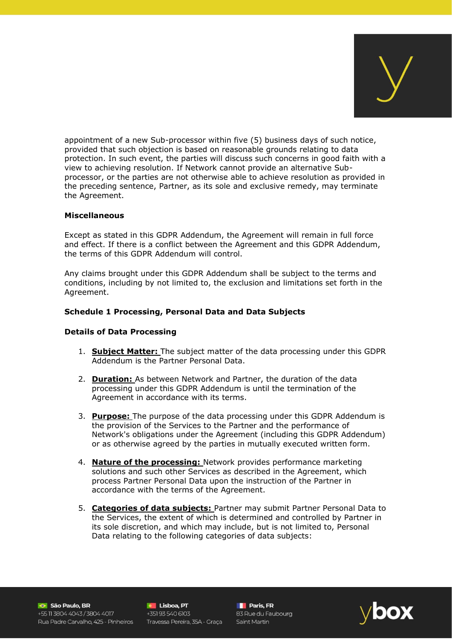

appointment of a new Sub-processor within five (5) business days of such notice, provided that such objection is based on reasonable grounds relating to data protection. In such event, the parties will discuss such concerns in good faith with a view to achieving resolution. If Network cannot provide an alternative Subprocessor, or the parties are not otherwise able to achieve resolution as provided in the preceding sentence, Partner, as its sole and exclusive remedy, may terminate the Agreement.

#### **Miscellaneous**

Except as stated in this GDPR Addendum, the Agreement will remain in full force and effect. If there is a conflict between the Agreement and this GDPR Addendum, the terms of this GDPR Addendum will control.

Any claims brought under this GDPR Addendum shall be subject to the terms and conditions, including by not limited to, the exclusion and limitations set forth in the Agreement.

## **Schedule 1 Processing, Personal Data and Data Subjects**

## **Details of Data Processing**

- 1. **Subject Matter:** The subject matter of the data processing under this GDPR Addendum is the Partner Personal Data.
- 2. **Duration:** As between Network and Partner, the duration of the data processing under this GDPR Addendum is until the termination of the Agreement in accordance with its terms.
- 3. **Purpose:** The purpose of the data processing under this GDPR Addendum is the provision of the Services to the Partner and the performance of Network's obligations under the Agreement (including this GDPR Addendum) or as otherwise agreed by the parties in mutually executed written form.
- 4. **Nature of the processing:** Network provides performance marketing solutions and such other Services as described in the Agreement, which process Partner Personal Data upon the instruction of the Partner in accordance with the terms of the Agreement.
- 5. **Categories of data subjects:** Partner may submit Partner Personal Data to the Services, the extent of which is determined and controlled by Partner in its sole discretion, and which may include, but is not limited to, Personal Data relating to the following categories of data subjects:

São Paulo, BR +55 11 3804 4043 / 3804 4017 Rua Padre Carvalho, 425 - Pinheiros

**C** Lisboa, PT +351 93 540 6103 Travessa Pereira, 35A - Graça